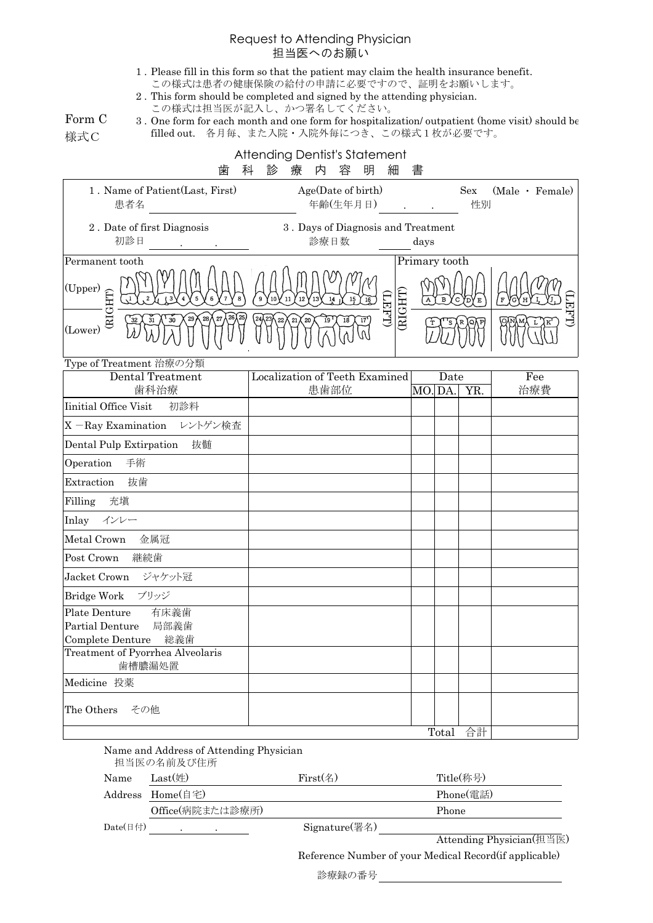## Request to Attending Physician 担当医へのお願い

- 1 . Please fill in this form so that the patient may claim the health insurance benefit. この様式は患者の健康保険の給付の申請に必要ですので、証明をお願いします。
- 2 . This form should be completed and signed by the attending physician.
- この様式は担当医が記入し、かつ署名してください。

Form C 様式C

|  |  | 3. One form for each month and one form for hospitalization/outpatient (home visit) should be |  |
|--|--|-----------------------------------------------------------------------------------------------|--|
|  |  | filled out. 各月毎、また入院・入院外毎につき、この様式1枚が必要です。                                                     |  |

|                                                                                             | <b>Attending Dentist's Statement</b>             |                   |               |       |     |                 |
|---------------------------------------------------------------------------------------------|--------------------------------------------------|-------------------|---------------|-------|-----|-----------------|
| 歯<br>1. Name of Patient (Last, First)                                                       | 診<br>内<br>明<br>科<br>療<br>容<br>Age(Date of birth) | 細                 | 書             |       | Sex | (Male · Female) |
| 患者名                                                                                         | 年齢(生年月日)                                         |                   |               |       | 性別  |                 |
| 2. Date of first Diagnosis<br>初診日                                                           | 3. Days of Diagnosis and Treatment<br>診療日数       |                   | days          |       |     |                 |
| Permanent tooth                                                                             |                                                  |                   | Primary tooth |       |     |                 |
| $\frac{(\text{Upper})}{\prod_{\substack{U\\ \text{U}\\ (\text{Lower})}}}\frac{1}{\text{E}}$ | 11<br>14<br>10                                   |                   |               |       |     |                 |
| (Lower)                                                                                     | 20                                               | (RIGHT)<br>(LHHL) |               |       |     | <b>LEFT</b>     |
| Type of Treatment 治療の分類                                                                     |                                                  |                   |               |       |     |                 |
| Dental Treatment<br>歯科治療                                                                    | Localization of Teeth Examined<br>患歯部位           |                   | MO.DA.        | Date  | YR. | Fee<br>治療費      |
| Iinitial Office Visit<br>初診料                                                                |                                                  |                   |               |       |     |                 |
| X-Ray Examination レントゲン検査                                                                   |                                                  |                   |               |       |     |                 |
| 抜髄<br>Dental Pulp Extirpation                                                               |                                                  |                   |               |       |     |                 |
| Operation<br>手術                                                                             |                                                  |                   |               |       |     |                 |
| 抜歯<br>Extraction                                                                            |                                                  |                   |               |       |     |                 |
| 充填<br>Filling                                                                               |                                                  |                   |               |       |     |                 |
| Inlay<br>インレー                                                                               |                                                  |                   |               |       |     |                 |
| Metal Crown<br>金属冠                                                                          |                                                  |                   |               |       |     |                 |
| Post Crown<br>継続歯                                                                           |                                                  |                   |               |       |     |                 |
| Jacket Crown ジャケット冠                                                                         |                                                  |                   |               |       |     |                 |
| Bridge Work ブリッジ                                                                            |                                                  |                   |               |       |     |                 |
| Plate Denture<br>有床義歯                                                                       |                                                  |                   |               |       |     |                 |
| Partial Denture<br>局部義歯<br>Complete Denture<br>総義歯                                          |                                                  |                   |               |       |     |                 |
| Treatment of Pyorrhea Alveolaris<br>歯槽膿漏処置                                                  |                                                  |                   |               |       |     |                 |
| Medicine 投薬                                                                                 |                                                  |                   |               |       |     |                 |
| The Others<br>その他                                                                           |                                                  |                   |               |       |     |                 |
|                                                                                             |                                                  |                   |               | Total | 合計  |                 |

|                           | Name and Address of Attending Physician<br>担当医の名前及び住所 |                  |                          |
|---------------------------|-------------------------------------------------------|------------------|--------------------------|
| Name                      | Last $(\n#)$                                          | First(4)         | Title(称号)                |
| Address                   | $Home($ 自宅 $)$                                        |                  | Phone(電話)                |
|                           | Office(病院または診療所)                                      |                  | Phone                    |
| Date $(\boxplus \forall)$ |                                                       | $Signature$ (署名) |                          |
|                           |                                                       |                  | Attending Physician(担当医) |

Reference Number of your Medical Record(if applicable)